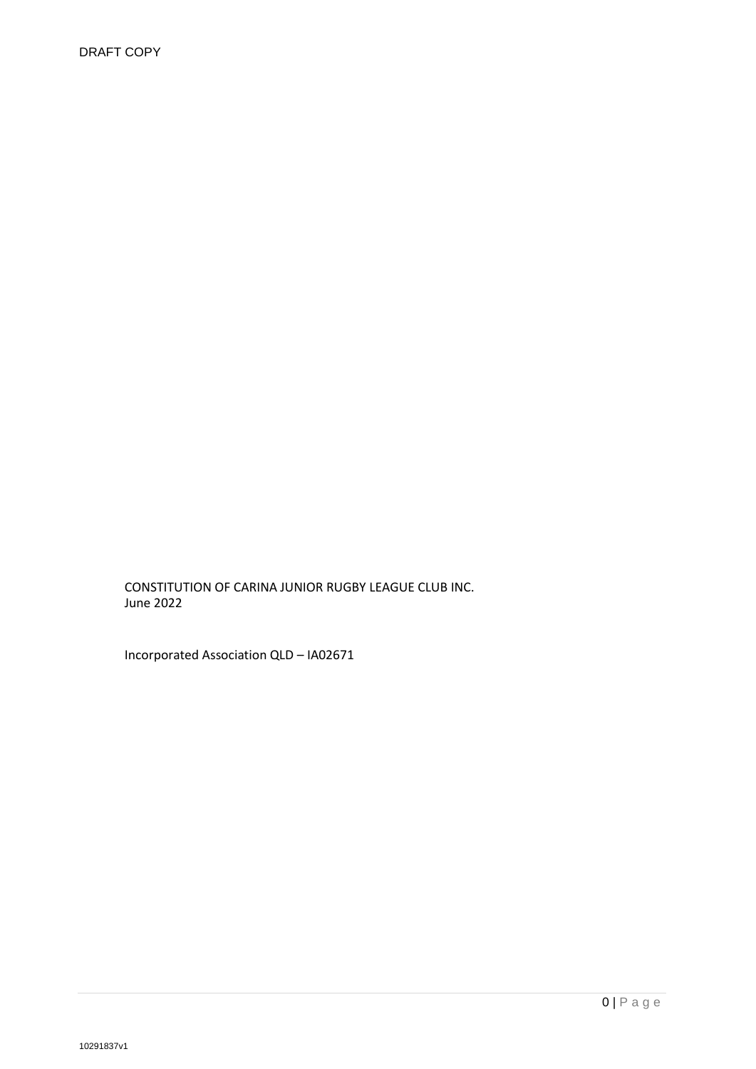CONSTITUTION OF CARINA JUNIOR RUGBY LEAGUE CLUB INC. June 2022

Incorporated Association QLD – IA02671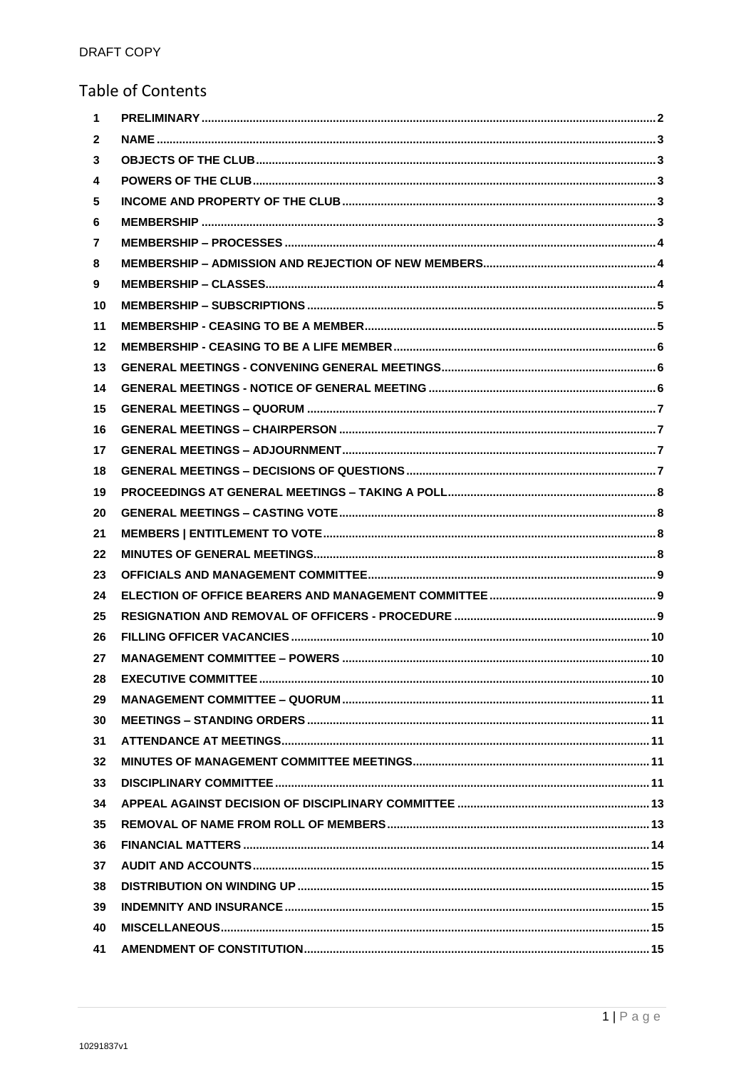# **Table of Contents**

| $\mathbf 1$  |                            |     |
|--------------|----------------------------|-----|
| $\mathbf{2}$ |                            |     |
| 3            |                            |     |
| 4            |                            |     |
| 5            |                            |     |
| 6            |                            |     |
| 7            |                            |     |
| 8            |                            |     |
| 9            |                            |     |
| 10           |                            |     |
| 11           |                            |     |
| 12           |                            |     |
| 13           |                            |     |
| 14           |                            |     |
| 15           |                            |     |
| 16           |                            |     |
| 17           |                            |     |
| 18           |                            |     |
| 19           |                            |     |
| 20           |                            |     |
| 21           |                            |     |
| 22           |                            |     |
| 23           |                            |     |
| 24           |                            |     |
| 25           |                            |     |
| 26           |                            |     |
| 27           |                            |     |
| 28.          | <b>EXECUTIVE COMMITTEE</b> | .10 |
| 29           |                            |     |
| 30           |                            |     |
| 31           |                            |     |
| 32           |                            |     |
| 33           |                            |     |
| 34           |                            |     |
| 35           |                            |     |
| 36           |                            |     |
| 37           |                            |     |
| 38           |                            |     |
| 39           |                            |     |
| 40           |                            |     |
| 41           |                            |     |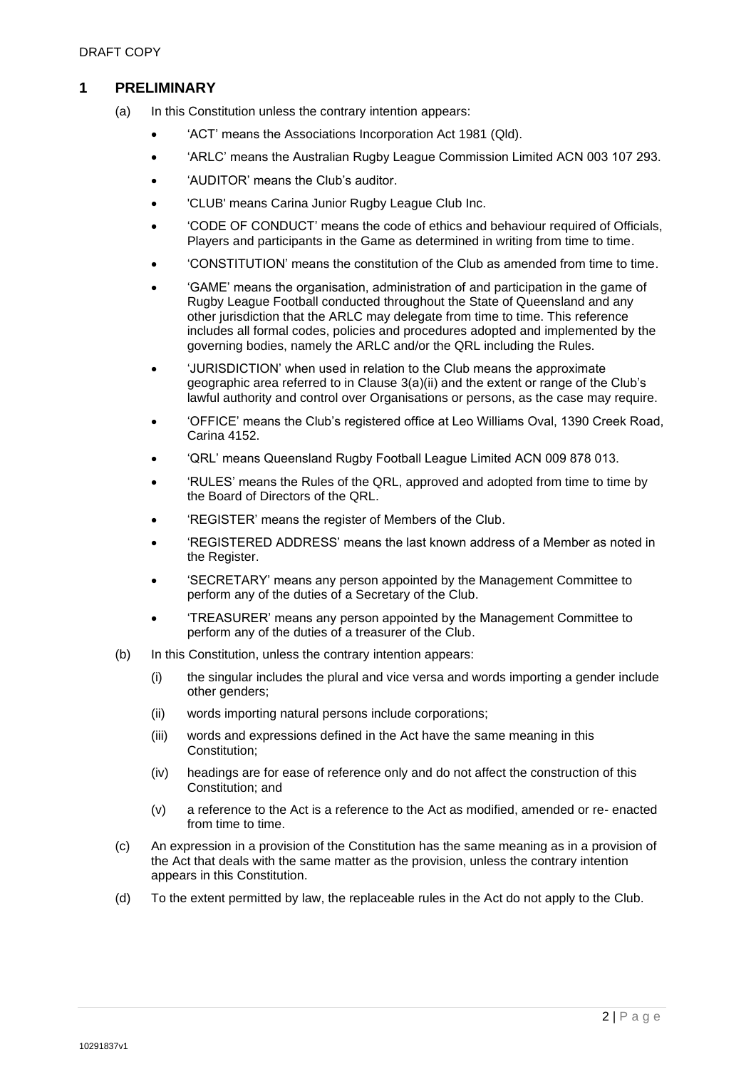# <span id="page-2-0"></span>**1 PRELIMINARY**

- (a) In this Constitution unless the contrary intention appears:
	- 'ACT' means the Associations Incorporation Act 1981 (Qld).
	- 'ARLC' means the Australian Rugby League Commission Limited ACN 003 107 293.
	- 'AUDITOR' means the Club's auditor.
	- 'CLUB' means Carina Junior Rugby League Club Inc.
	- 'CODE OF CONDUCT' means the code of ethics and behaviour required of Officials, Players and participants in the Game as determined in writing from time to time.
	- 'CONSTITUTION' means the constitution of the Club as amended from time to time.
	- 'GAME' means the organisation, administration of and participation in the game of Rugby League Football conducted throughout the State of Queensland and any other jurisdiction that the ARLC may delegate from time to time. This reference includes all formal codes, policies and procedures adopted and implemented by the governing bodies, namely the ARLC and/or the QRL including the Rules.
	- 'JURISDICTION' when used in relation to the Club means the approximate geographic area referred to in Clause 3(a)(ii) and the extent or range of the Club's lawful authority and control over Organisations or persons, as the case may require.
	- 'OFFICE' means the Club's registered office at Leo Williams Oval, 1390 Creek Road, Carina 4152.
	- 'QRL' means Queensland Rugby Football League Limited ACN 009 878 013.
	- 'RULES' means the Rules of the QRL, approved and adopted from time to time by the Board of Directors of the QRL.
	- 'REGISTER' means the register of Members of the Club.
	- 'REGISTERED ADDRESS' means the last known address of a Member as noted in the Register.
	- 'SECRETARY' means any person appointed by the Management Committee to perform any of the duties of a Secretary of the Club.
	- 'TREASURER' means any person appointed by the Management Committee to perform any of the duties of a treasurer of the Club.
- (b) In this Constitution, unless the contrary intention appears:
	- (i) the singular includes the plural and vice versa and words importing a gender include other genders;
	- (ii) words importing natural persons include corporations;
	- (iii) words and expressions defined in the Act have the same meaning in this Constitution;
	- (iv) headings are for ease of reference only and do not affect the construction of this Constitution; and
	- (v) a reference to the Act is a reference to the Act as modified, amended or re- enacted from time to time.
- (c) An expression in a provision of the Constitution has the same meaning as in a provision of the Act that deals with the same matter as the provision, unless the contrary intention appears in this Constitution.
- (d) To the extent permitted by law, the replaceable rules in the Act do not apply to the Club.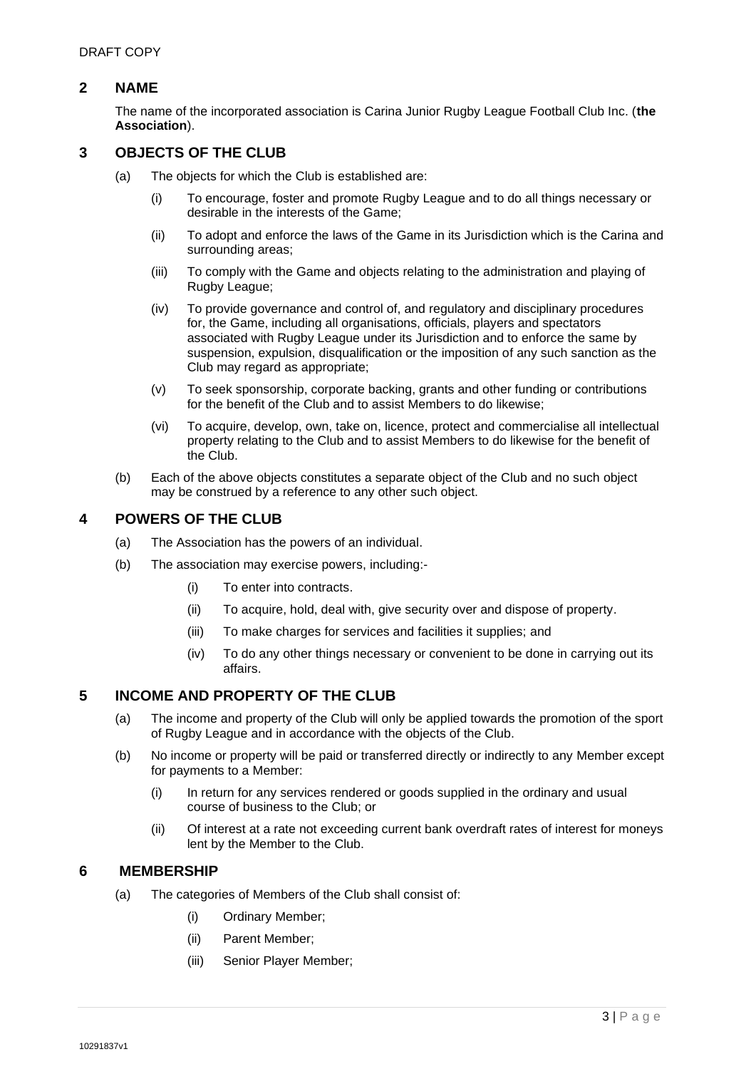# <span id="page-3-0"></span>**2 NAME**

The name of the incorporated association is Carina Junior Rugby League Football Club Inc. (**the Association**).

# <span id="page-3-1"></span>**3 OBJECTS OF THE CLUB**

- (a) The objects for which the Club is established are:
	- (i) To encourage, foster and promote Rugby League and to do all things necessary or desirable in the interests of the Game;
	- (ii) To adopt and enforce the laws of the Game in its Jurisdiction which is the Carina and surrounding areas;
	- (iii) To comply with the Game and objects relating to the administration and playing of Rugby League;
	- (iv) To provide governance and control of, and regulatory and disciplinary procedures for, the Game, including all organisations, officials, players and spectators associated with Rugby League under its Jurisdiction and to enforce the same by suspension, expulsion, disqualification or the imposition of any such sanction as the Club may regard as appropriate;
	- (v) To seek sponsorship, corporate backing, grants and other funding or contributions for the benefit of the Club and to assist Members to do likewise;
	- (vi) To acquire, develop, own, take on, licence, protect and commercialise all intellectual property relating to the Club and to assist Members to do likewise for the benefit of the Club.
- (b) Each of the above objects constitutes a separate object of the Club and no such object may be construed by a reference to any other such object.

# <span id="page-3-2"></span>**4 POWERS OF THE CLUB**

- (a) The Association has the powers of an individual.
- (b) The association may exercise powers, including:-
	- (i) To enter into contracts.
	- (ii) To acquire, hold, deal with, give security over and dispose of property.
	- (iii) To make charges for services and facilities it supplies; and
	- (iv) To do any other things necessary or convenient to be done in carrying out its affairs.

#### <span id="page-3-3"></span>**5 INCOME AND PROPERTY OF THE CLUB**

- (a) The income and property of the Club will only be applied towards the promotion of the sport of Rugby League and in accordance with the objects of the Club.
- (b) No income or property will be paid or transferred directly or indirectly to any Member except for payments to a Member:
	- (i) In return for any services rendered or goods supplied in the ordinary and usual course of business to the Club; or
	- (ii) Of interest at a rate not exceeding current bank overdraft rates of interest for moneys lent by the Member to the Club.

#### **6 MEMBERSHIP**

- <span id="page-3-4"></span>(a) The categories of Members of the Club shall consist of:
	- (i) Ordinary Member;
	- (ii) Parent Member;
	- (iii) Senior Player Member;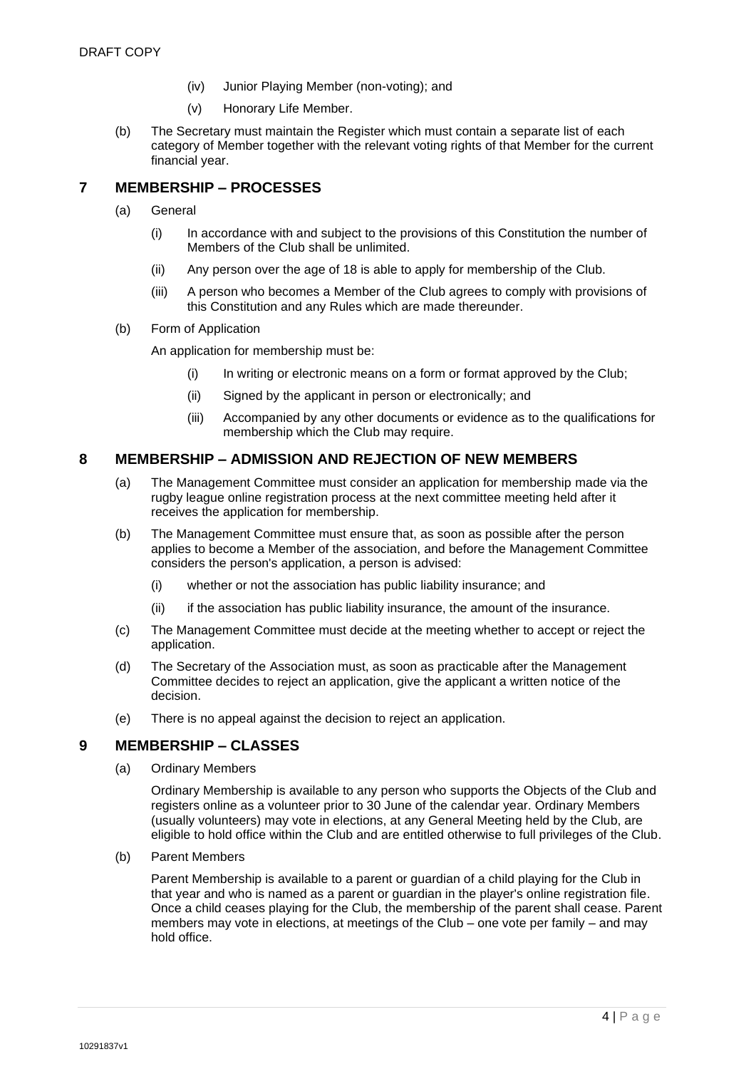- (iv) Junior Playing Member (non-voting); and
- (v) Honorary Life Member.
- (b) The Secretary must maintain the Register which must contain a separate list of each category of Member together with the relevant voting rights of that Member for the current financial year.

# <span id="page-4-0"></span>**7 MEMBERSHIP – PROCESSES**

- (a) General
	- (i) In accordance with and subject to the provisions of this Constitution the number of Members of the Club shall be unlimited.
	- (ii) Any person over the age of 18 is able to apply for membership of the Club.
	- (iii) A person who becomes a Member of the Club agrees to comply with provisions of this Constitution and any Rules which are made thereunder.
- (b) Form of Application

An application for membership must be:

- (i) In writing or electronic means on a form or format approved by the Club;
- (ii) Signed by the applicant in person or electronically; and
- (iii) Accompanied by any other documents or evidence as to the qualifications for membership which the Club may require.

# <span id="page-4-1"></span>**8 MEMBERSHIP – ADMISSION AND REJECTION OF NEW MEMBERS**

- (a) The Management Committee must consider an application for membership made via the rugby league online registration process at the next committee meeting held after it receives the application for membership.
- (b) The Management Committee must ensure that, as soon as possible after the person applies to become a Member of the association, and before the Management Committee considers the person's application, a person is advised:
	- (i) whether or not the association has public liability insurance; and
	- (ii) if the association has public liability insurance, the amount of the insurance.
- (c) The Management Committee must decide at the meeting whether to accept or reject the application.
- (d) The Secretary of the Association must, as soon as practicable after the Management Committee decides to reject an application, give the applicant a written notice of the decision.
- (e) There is no appeal against the decision to reject an application.

# <span id="page-4-2"></span>**9 MEMBERSHIP – CLASSES**

(a) Ordinary Members

Ordinary Membership is available to any person who supports the Objects of the Club and registers online as a volunteer prior to 30 June of the calendar year. Ordinary Members (usually volunteers) may vote in elections, at any General Meeting held by the Club, are eligible to hold office within the Club and are entitled otherwise to full privileges of the Club.

(b) Parent Members

Parent Membership is available to a parent or guardian of a child playing for the Club in that year and who is named as a parent or guardian in the player's online registration file. Once a child ceases playing for the Club, the membership of the parent shall cease. Parent members may vote in elections, at meetings of the Club – one vote per family – and may hold office.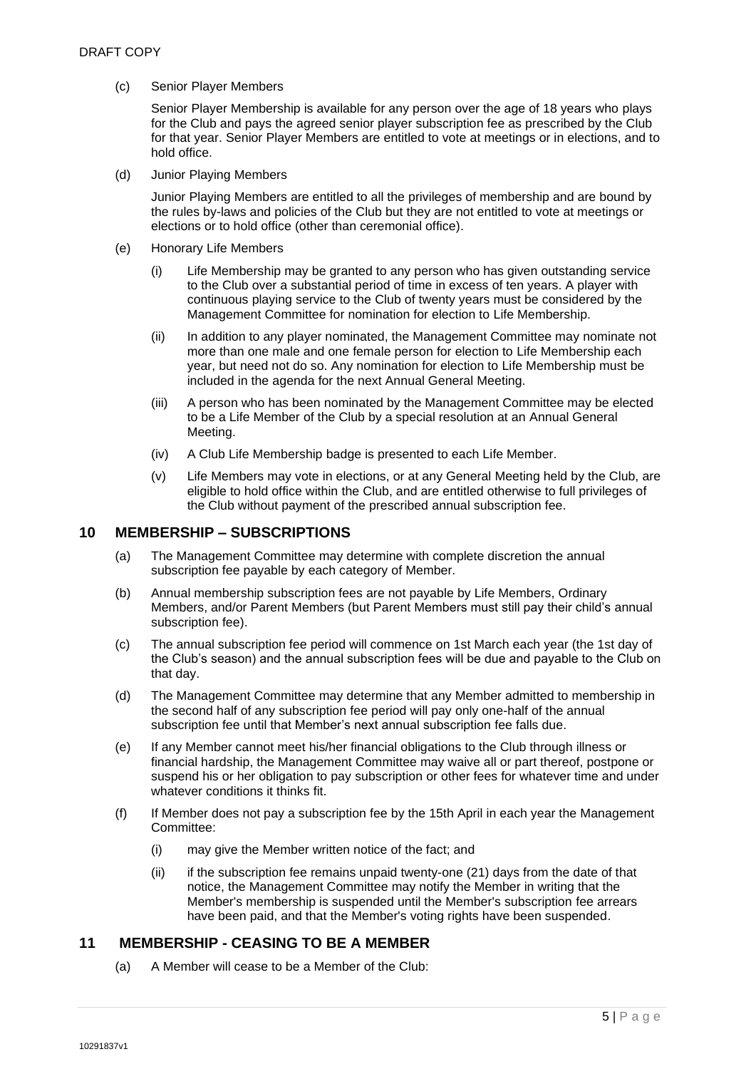(c) Senior Player Members

Senior Player Membership is available for any person over the age of 18 years who plays for the Club and pays the agreed senior player subscription fee as prescribed by the Club for that year. Senior Player Members are entitled to vote at meetings or in elections, and to hold office.

(d) Junior Playing Members

Junior Playing Members are entitled to all the privileges of membership and are bound by the rules by-laws and policies of the Club but they are not entitled to vote at meetings or elections or to hold office (other than ceremonial office).

- (e) Honorary Life Members
	- (i) Life Membership may be granted to any person who has given outstanding service to the Club over a substantial period of time in excess of ten years. A player with continuous playing service to the Club of twenty years must be considered by the Management Committee for nomination for election to Life Membership.
	- (ii) In addition to any player nominated, the Management Committee may nominate not more than one male and one female person for election to Life Membership each year, but need not do so. Any nomination for election to Life Membership must be included in the agenda for the next Annual General Meeting.
	- (iii) A person who has been nominated by the Management Committee may be elected to be a Life Member of the Club by a special resolution at an Annual General Meeting.
	- (iv) A Club Life Membership badge is presented to each Life Member.
	- (v) Life Members may vote in elections, or at any General Meeting held by the Club, are eligible to hold office within the Club, and are entitled otherwise to full privileges of the Club without payment of the prescribed annual subscription fee.

#### <span id="page-5-0"></span>**10 MEMBERSHIP – SUBSCRIPTIONS**

- (a) The Management Committee may determine with complete discretion the annual subscription fee payable by each category of Member.
- (b) Annual membership subscription fees are not payable by Life Members, Ordinary Members, and/or Parent Members (but Parent Members must still pay their child's annual subscription fee).
- (c) The annual subscription fee period will commence on 1st March each year (the 1st day of the Club's season) and the annual subscription fees will be due and payable to the Club on that day.
- (d) The Management Committee may determine that any Member admitted to membership in the second half of any subscription fee period will pay only one-half of the annual subscription fee until that Member's next annual subscription fee falls due.
- (e) If any Member cannot meet his/her financial obligations to the Club through illness or financial hardship, the Management Committee may waive all or part thereof, postpone or suspend his or her obligation to pay subscription or other fees for whatever time and under whatever conditions it thinks fit.
- (f) If Member does not pay a subscription fee by the 15th April in each year the Management Committee:
	- (i) may give the Member written notice of the fact; and
	- (ii) if the subscription fee remains unpaid twenty-one (21) days from the date of that notice, the Management Committee may notify the Member in writing that the Member's membership is suspended until the Member's subscription fee arrears have been paid, and that the Member's voting rights have been suspended.

# **11 MEMBERSHIP - CEASING TO BE A MEMBER**

<span id="page-5-1"></span>(a) A Member will cease to be a Member of the Club: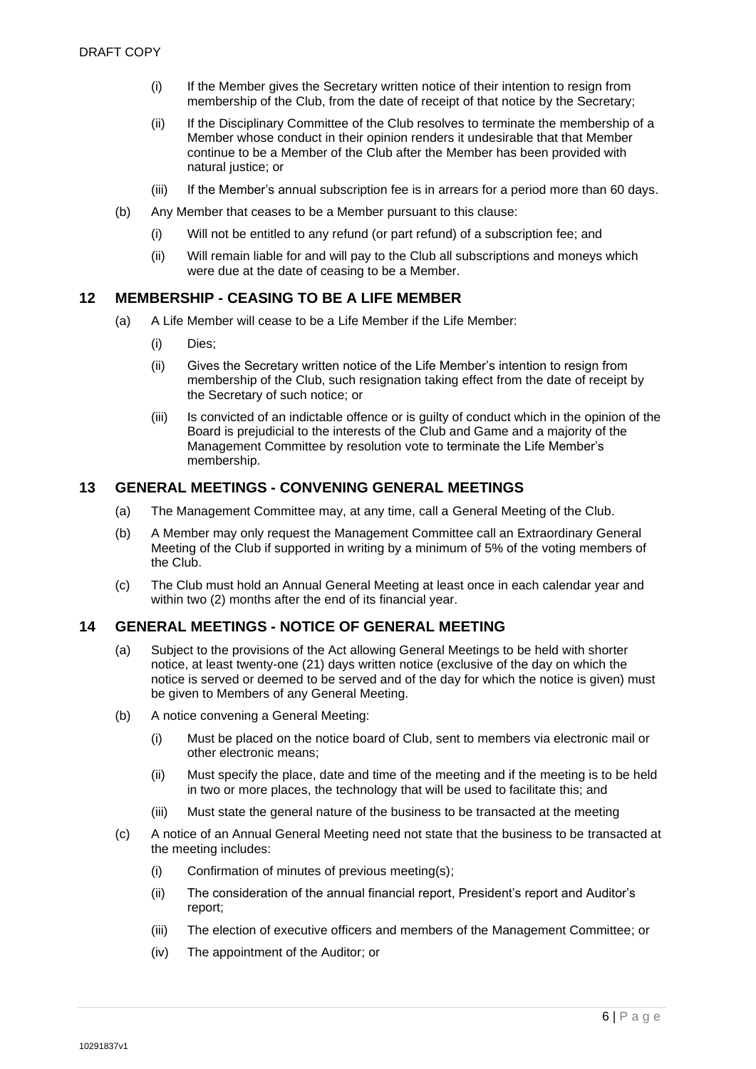- (i) If the Member gives the Secretary written notice of their intention to resign from membership of the Club, from the date of receipt of that notice by the Secretary;
- (ii) If the Disciplinary Committee of the Club resolves to terminate the membership of a Member whose conduct in their opinion renders it undesirable that that Member continue to be a Member of the Club after the Member has been provided with natural justice; or
- (iii) If the Member's annual subscription fee is in arrears for a period more than 60 days.
- (b) Any Member that ceases to be a Member pursuant to this clause:
	- (i) Will not be entitled to any refund (or part refund) of a subscription fee; and
	- (ii) Will remain liable for and will pay to the Club all subscriptions and moneys which were due at the date of ceasing to be a Member.

### <span id="page-6-0"></span>**12 MEMBERSHIP - CEASING TO BE A LIFE MEMBER**

- (a) A Life Member will cease to be a Life Member if the Life Member:
	- (i) Dies;
	- (ii) Gives the Secretary written notice of the Life Member's intention to resign from membership of the Club, such resignation taking effect from the date of receipt by the Secretary of such notice; or
	- (iii) Is convicted of an indictable offence or is guilty of conduct which in the opinion of the Board is prejudicial to the interests of the Club and Game and a majority of the Management Committee by resolution vote to terminate the Life Member's membership.

### <span id="page-6-1"></span>**13 GENERAL MEETINGS - CONVENING GENERAL MEETINGS**

- (a) The Management Committee may, at any time, call a General Meeting of the Club.
- (b) A Member may only request the Management Committee call an Extraordinary General Meeting of the Club if supported in writing by a minimum of 5% of the voting members of the Club.
- (c) The Club must hold an Annual General Meeting at least once in each calendar year and within two (2) months after the end of its financial year.

#### <span id="page-6-2"></span>**14 GENERAL MEETINGS - NOTICE OF GENERAL MEETING**

- (a) Subject to the provisions of the Act allowing General Meetings to be held with shorter notice, at least twenty-one (21) days written notice (exclusive of the day on which the notice is served or deemed to be served and of the day for which the notice is given) must be given to Members of any General Meeting.
- (b) A notice convening a General Meeting:
	- (i) Must be placed on the notice board of Club, sent to members via electronic mail or other electronic means;
	- (ii) Must specify the place, date and time of the meeting and if the meeting is to be held in two or more places, the technology that will be used to facilitate this; and
	- (iii) Must state the general nature of the business to be transacted at the meeting
- (c) A notice of an Annual General Meeting need not state that the business to be transacted at the meeting includes:
	- (i) Confirmation of minutes of previous meeting(s);
	- (ii) The consideration of the annual financial report, President's report and Auditor's report;
	- (iii) The election of executive officers and members of the Management Committee; or
	- (iv) The appointment of the Auditor; or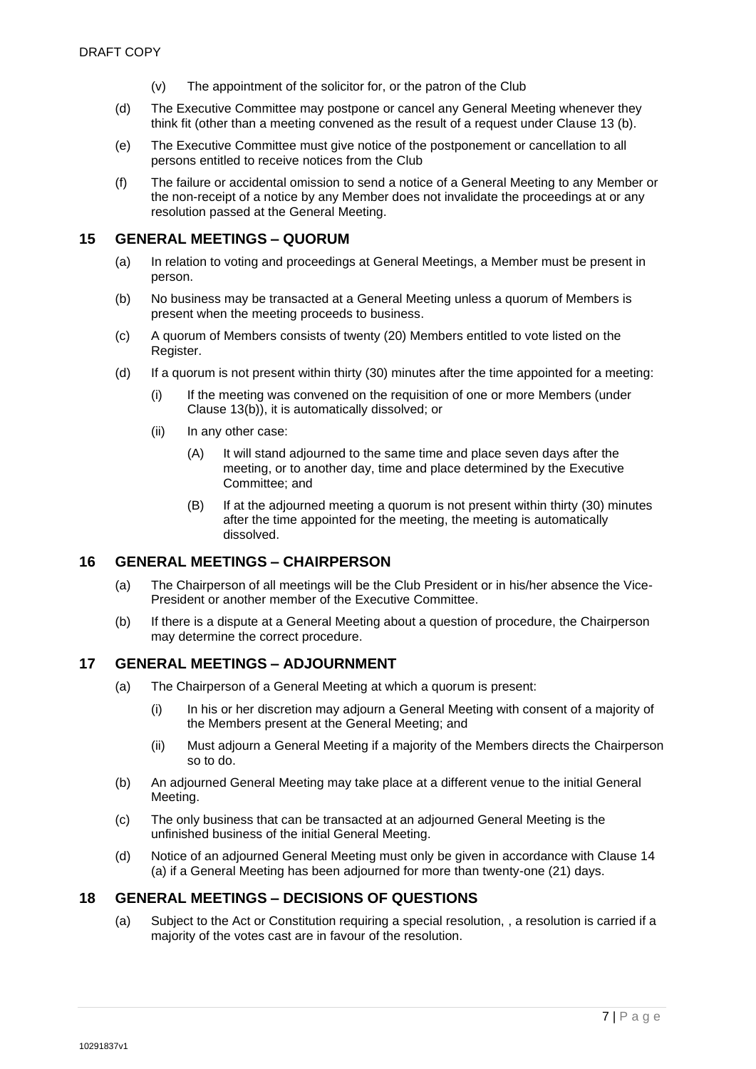- (v) The appointment of the solicitor for, or the patron of the Club
- (d) The Executive Committee may postpone or cancel any General Meeting whenever they think fit (other than a meeting convened as the result of a request under Clause 13 (b).
- (e) The Executive Committee must give notice of the postponement or cancellation to all persons entitled to receive notices from the Club
- (f) The failure or accidental omission to send a notice of a General Meeting to any Member or the non-receipt of a notice by any Member does not invalidate the proceedings at or any resolution passed at the General Meeting.

#### <span id="page-7-0"></span>**15 GENERAL MEETINGS – QUORUM**

- (a) In relation to voting and proceedings at General Meetings, a Member must be present in person.
- (b) No business may be transacted at a General Meeting unless a quorum of Members is present when the meeting proceeds to business.
- (c) A quorum of Members consists of twenty (20) Members entitled to vote listed on the Register.
- (d) If a quorum is not present within thirty (30) minutes after the time appointed for a meeting:
	- (i) If the meeting was convened on the requisition of one or more Members (under Clause 13(b)), it is automatically dissolved; or
	- (ii) In any other case:
		- (A) It will stand adjourned to the same time and place seven days after the meeting, or to another day, time and place determined by the Executive Committee; and
		- (B) If at the adjourned meeting a quorum is not present within thirty (30) minutes after the time appointed for the meeting, the meeting is automatically dissolved.

#### <span id="page-7-1"></span>**16 GENERAL MEETINGS – CHAIRPERSON**

- (a) The Chairperson of all meetings will be the Club President or in his/her absence the Vice-President or another member of the Executive Committee.
- (b) If there is a dispute at a General Meeting about a question of procedure, the Chairperson may determine the correct procedure.

#### <span id="page-7-2"></span>**17 GENERAL MEETINGS – ADJOURNMENT**

- (a) The Chairperson of a General Meeting at which a quorum is present:
	- (i) In his or her discretion may adjourn a General Meeting with consent of a majority of the Members present at the General Meeting; and
	- (ii) Must adjourn a General Meeting if a majority of the Members directs the Chairperson so to do.
- (b) An adjourned General Meeting may take place at a different venue to the initial General Meeting.
- (c) The only business that can be transacted at an adjourned General Meeting is the unfinished business of the initial General Meeting.
- (d) Notice of an adjourned General Meeting must only be given in accordance with Clause [14](#page-6-2) (a) if a General Meeting has been adjourned for more than twenty-one (21) days.

#### <span id="page-7-3"></span>**18 GENERAL MEETINGS – DECISIONS OF QUESTIONS**

(a) Subject to the Act or Constitution requiring a special resolution, , a resolution is carried if a majority of the votes cast are in favour of the resolution.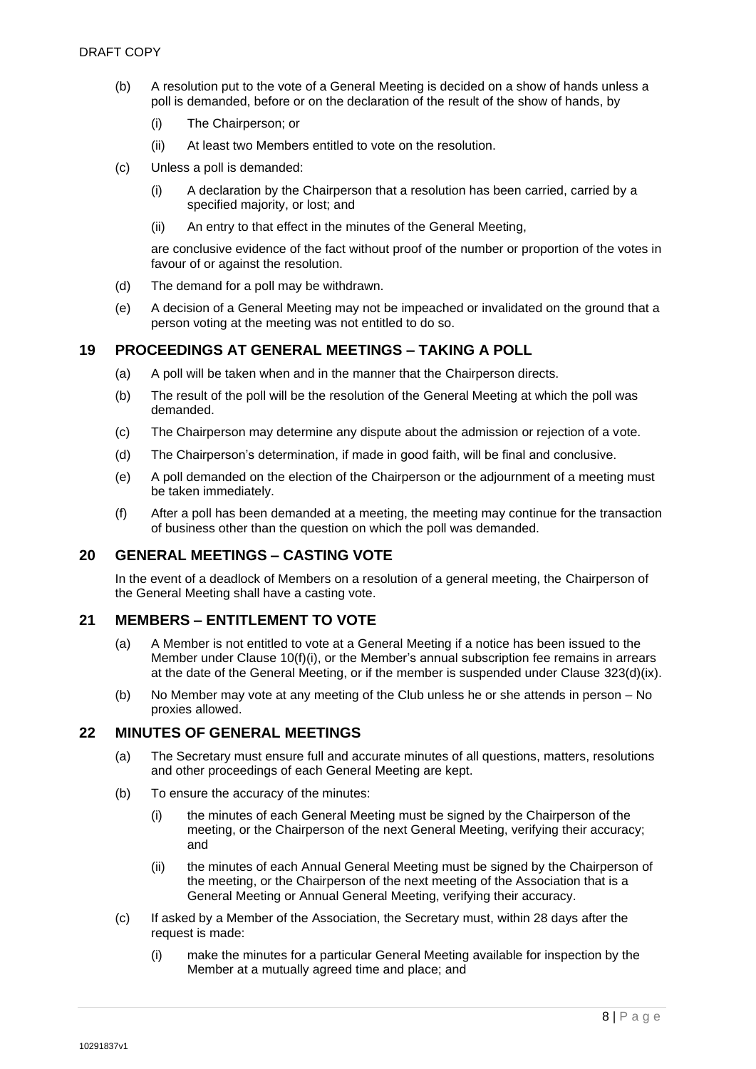- (b) A resolution put to the vote of a General Meeting is decided on a show of hands unless a poll is demanded, before or on the declaration of the result of the show of hands, by
	- (i) The Chairperson; or
	- (ii) At least two Members entitled to vote on the resolution.
- (c) Unless a poll is demanded:
	- (i) A declaration by the Chairperson that a resolution has been carried, carried by a specified majority, or lost; and
	- (ii) An entry to that effect in the minutes of the General Meeting,

are conclusive evidence of the fact without proof of the number or proportion of the votes in favour of or against the resolution.

- (d) The demand for a poll may be withdrawn.
- (e) A decision of a General Meeting may not be impeached or invalidated on the ground that a person voting at the meeting was not entitled to do so.

# <span id="page-8-0"></span>**19 PROCEEDINGS AT GENERAL MEETINGS – TAKING A POLL**

- (a) A poll will be taken when and in the manner that the Chairperson directs.
- (b) The result of the poll will be the resolution of the General Meeting at which the poll was demanded.
- (c) The Chairperson may determine any dispute about the admission or rejection of a vote.
- (d) The Chairperson's determination, if made in good faith, will be final and conclusive.
- (e) A poll demanded on the election of the Chairperson or the adjournment of a meeting must be taken immediately.
- (f) After a poll has been demanded at a meeting, the meeting may continue for the transaction of business other than the question on which the poll was demanded.

#### <span id="page-8-1"></span>**20 GENERAL MEETINGS – CASTING VOTE**

In the event of a deadlock of Members on a resolution of a general meeting, the Chairperson of the General Meeting shall have a casting vote.

#### <span id="page-8-2"></span>**21 MEMBERS – ENTITLEMENT TO VOTE**

- (a) A Member is not entitled to vote at a General Meeting if a notice has been issued to the Member under Clause [10\(](#page-5-0)f)(i), or the Member's annual subscription fee remains in arrears at the date of the General Meeting, or if the member is suspended under Clause [323](#page-11-3)(d)(ix).
- (b) No Member may vote at any meeting of the Club unless he or she attends in person No proxies allowed.

### <span id="page-8-3"></span>**22 MINUTES OF GENERAL MEETINGS**

- (a) The Secretary must ensure full and accurate minutes of all questions, matters, resolutions and other proceedings of each General Meeting are kept.
- (b) To ensure the accuracy of the minutes:
	- (i) the minutes of each General Meeting must be signed by the Chairperson of the meeting, or the Chairperson of the next General Meeting, verifying their accuracy; and
	- (ii) the minutes of each Annual General Meeting must be signed by the Chairperson of the meeting, or the Chairperson of the next meeting of the Association that is a General Meeting or Annual General Meeting, verifying their accuracy.
- (c) If asked by a Member of the Association, the Secretary must, within 28 days after the request is made:
	- (i) make the minutes for a particular General Meeting available for inspection by the Member at a mutually agreed time and place; and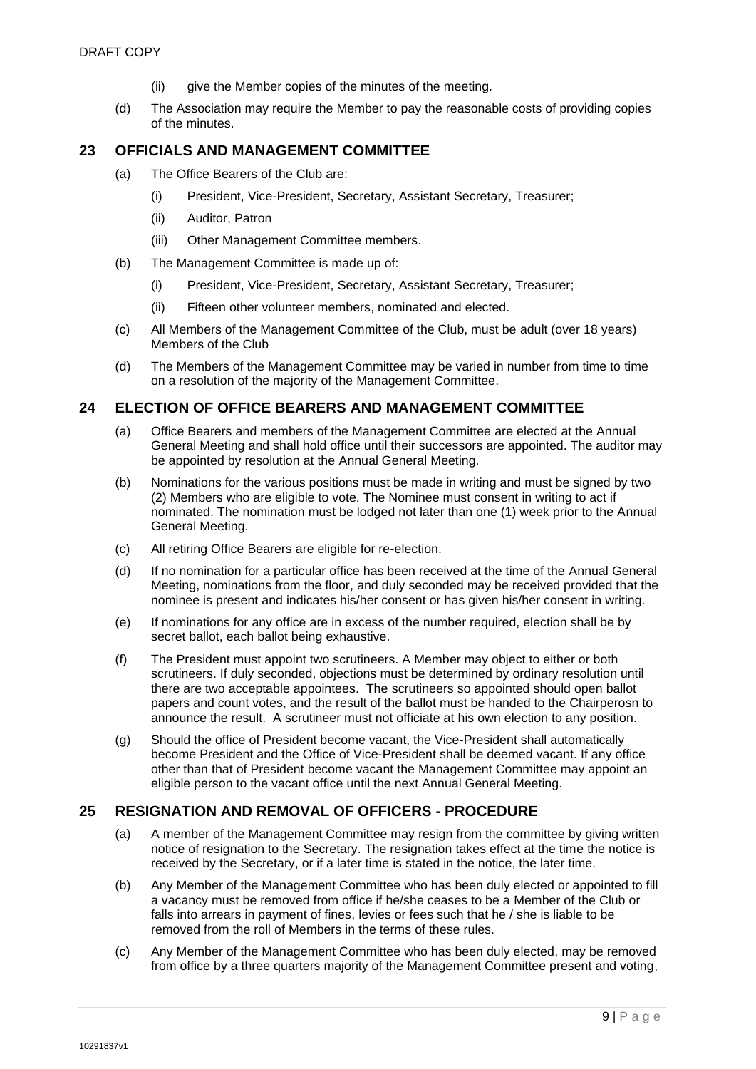- (ii) give the Member copies of the minutes of the meeting.
- (d) The Association may require the Member to pay the reasonable costs of providing copies of the minutes.

# <span id="page-9-0"></span>**23 OFFICIALS AND MANAGEMENT COMMITTEE**

- (a) The Office Bearers of the Club are:
	- (i) President, Vice-President, Secretary, Assistant Secretary, Treasurer;
	- (ii) Auditor, Patron
	- (iii) Other Management Committee members.
- (b) The Management Committee is made up of:
	- (i) President, Vice-President, Secretary, Assistant Secretary, Treasurer;
	- (ii) Fifteen other volunteer members, nominated and elected.
- (c) All Members of the Management Committee of the Club, must be adult (over 18 years) Members of the Club
- (d) The Members of the Management Committee may be varied in number from time to time on a resolution of the majority of the Management Committee.

### <span id="page-9-1"></span>**24 ELECTION OF OFFICE BEARERS AND MANAGEMENT COMMITTEE**

- (a) Office Bearers and members of the Management Committee are elected at the Annual General Meeting and shall hold office until their successors are appointed. The auditor may be appointed by resolution at the Annual General Meeting.
- (b) Nominations for the various positions must be made in writing and must be signed by two (2) Members who are eligible to vote. The Nominee must consent in writing to act if nominated. The nomination must be lodged not later than one (1) week prior to the Annual General Meeting.
- (c) All retiring Office Bearers are eligible for re-election.
- (d) If no nomination for a particular office has been received at the time of the Annual General Meeting, nominations from the floor, and duly seconded may be received provided that the nominee is present and indicates his/her consent or has given his/her consent in writing.
- (e) If nominations for any office are in excess of the number required, election shall be by secret ballot, each ballot being exhaustive.
- (f) The President must appoint two scrutineers. A Member may object to either or both scrutineers. If duly seconded, objections must be determined by ordinary resolution until there are two acceptable appointees. The scrutineers so appointed should open ballot papers and count votes, and the result of the ballot must be handed to the Chairperosn to announce the result. A scrutineer must not officiate at his own election to any position.
- (g) Should the office of President become vacant, the Vice-President shall automatically become President and the Office of Vice-President shall be deemed vacant. If any office other than that of President become vacant the Management Committee may appoint an eligible person to the vacant office until the next Annual General Meeting.

# <span id="page-9-2"></span>**25 RESIGNATION AND REMOVAL OF OFFICERS - PROCEDURE**

- (a) A member of the Management Committee may resign from the committee by giving written notice of resignation to the Secretary. The resignation takes effect at the time the notice is received by the Secretary, or if a later time is stated in the notice, the later time.
- (b) Any Member of the Management Committee who has been duly elected or appointed to fill a vacancy must be removed from office if he/she ceases to be a Member of the Club or falls into arrears in payment of fines, levies or fees such that he / she is liable to be removed from the roll of Members in the terms of these rules.
- (c) Any Member of the Management Committee who has been duly elected, may be removed from office by a three quarters majority of the Management Committee present and voting,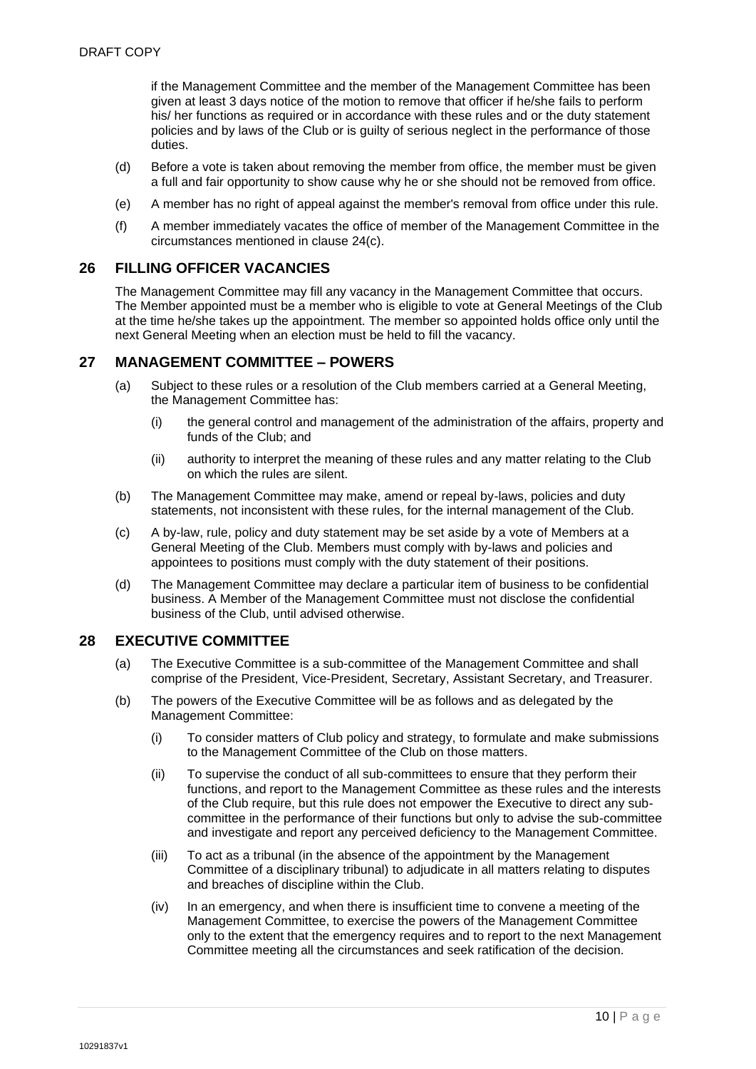if the Management Committee and the member of the Management Committee has been given at least 3 days notice of the motion to remove that officer if he/she fails to perform his/ her functions as required or in accordance with these rules and or the duty statement policies and by laws of the Club or is guilty of serious neglect in the performance of those duties.

- (d) Before a vote is taken about removing the member from office, the member must be given a full and fair opportunity to show cause why he or she should not be removed from office.
- (e) A member has no right of appeal against the member's removal from office under this rule.
- (f) A member immediately vacates the office of member of the Management Committee in the circumstances mentioned in clause 24(c).

#### <span id="page-10-0"></span>**26 FILLING OFFICER VACANCIES**

The Management Committee may fill any vacancy in the Management Committee that occurs. The Member appointed must be a member who is eligible to vote at General Meetings of the Club at the time he/she takes up the appointment. The member so appointed holds office only until the next General Meeting when an election must be held to fill the vacancy.

# <span id="page-10-1"></span>**27 MANAGEMENT COMMITTEE – POWERS**

- (a) Subject to these rules or a resolution of the Club members carried at a General Meeting, the Management Committee has:
	- (i) the general control and management of the administration of the affairs, property and funds of the Club; and
	- (ii) authority to interpret the meaning of these rules and any matter relating to the Club on which the rules are silent.
- (b) The Management Committee may make, amend or repeal by-laws, policies and duty statements, not inconsistent with these rules, for the internal management of the Club.
- (c) A by-law, rule, policy and duty statement may be set aside by a vote of Members at a General Meeting of the Club. Members must comply with by-laws and policies and appointees to positions must comply with the duty statement of their positions.
- (d) The Management Committee may declare a particular item of business to be confidential business. A Member of the Management Committee must not disclose the confidential business of the Club, until advised otherwise.

# <span id="page-10-2"></span>**28 EXECUTIVE COMMITTEE**

- (a) The Executive Committee is a sub-committee of the Management Committee and shall comprise of the President, Vice-President, Secretary, Assistant Secretary, and Treasurer.
- (b) The powers of the Executive Committee will be as follows and as delegated by the Management Committee:
	- (i) To consider matters of Club policy and strategy, to formulate and make submissions to the Management Committee of the Club on those matters.
	- (ii) To supervise the conduct of all sub-committees to ensure that they perform their functions, and report to the Management Committee as these rules and the interests of the Club require, but this rule does not empower the Executive to direct any subcommittee in the performance of their functions but only to advise the sub-committee and investigate and report any perceived deficiency to the Management Committee.
	- (iii) To act as a tribunal (in the absence of the appointment by the Management Committee of a disciplinary tribunal) to adjudicate in all matters relating to disputes and breaches of discipline within the Club.
	- (iv) In an emergency, and when there is insufficient time to convene a meeting of the Management Committee, to exercise the powers of the Management Committee only to the extent that the emergency requires and to report to the next Management Committee meeting all the circumstances and seek ratification of the decision.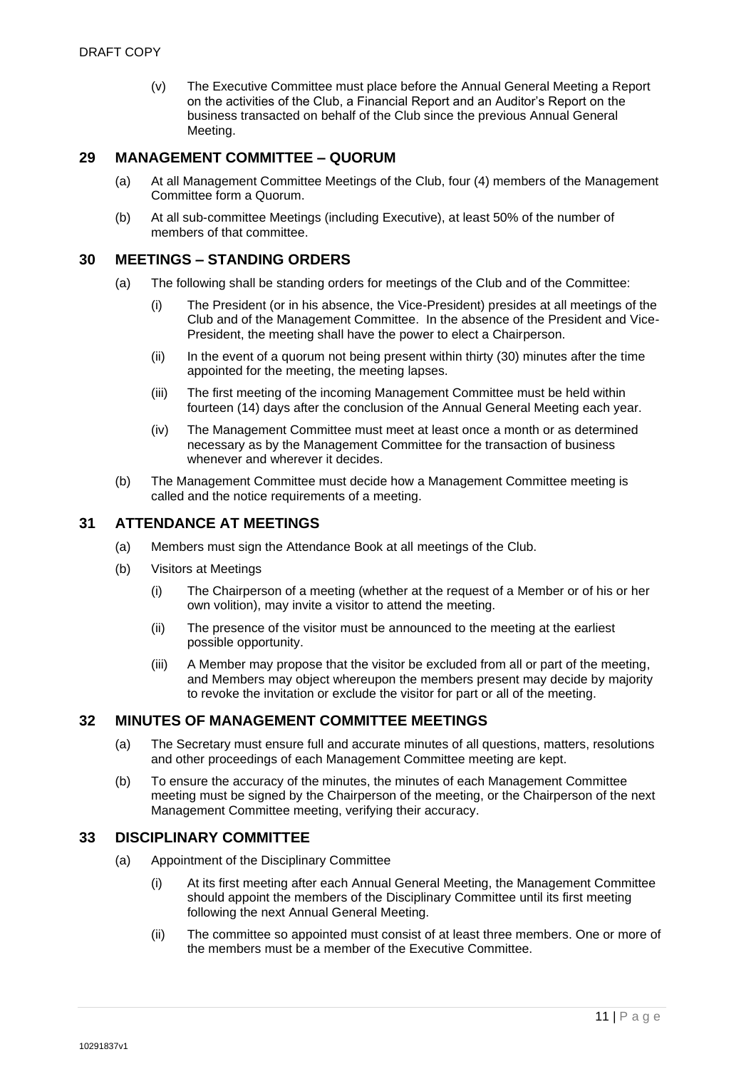(v) The Executive Committee must place before the Annual General Meeting a Report on the activities of the Club, a Financial Report and an Auditor's Report on the business transacted on behalf of the Club since the previous Annual General Meeting.

### <span id="page-11-0"></span>**29 MANAGEMENT COMMITTEE – QUORUM**

- (a) At all Management Committee Meetings of the Club, four (4) members of the Management Committee form a Quorum.
- (b) At all sub-committee Meetings (including Executive), at least 50% of the number of members of that committee.

#### <span id="page-11-1"></span>**30 MEETINGS – STANDING ORDERS**

- (a) The following shall be standing orders for meetings of the Club and of the Committee:
	- (i) The President (or in his absence, the Vice-President) presides at all meetings of the Club and of the Management Committee. In the absence of the President and Vice-President, the meeting shall have the power to elect a Chairperson.
	- $(i)$  In the event of a quorum not being present within thirty (30) minutes after the time appointed for the meeting, the meeting lapses.
	- (iii) The first meeting of the incoming Management Committee must be held within fourteen (14) days after the conclusion of the Annual General Meeting each year.
	- (iv) The Management Committee must meet at least once a month or as determined necessary as by the Management Committee for the transaction of business whenever and wherever it decides.
- (b) The Management Committee must decide how a Management Committee meeting is called and the notice requirements of a meeting.

### <span id="page-11-2"></span>**31 ATTENDANCE AT MEETINGS**

- (a) Members must sign the Attendance Book at all meetings of the Club.
- (b) Visitors at Meetings
	- (i) The Chairperson of a meeting (whether at the request of a Member or of his or her own volition), may invite a visitor to attend the meeting.
	- (ii) The presence of the visitor must be announced to the meeting at the earliest possible opportunity.
	- (iii) A Member may propose that the visitor be excluded from all or part of the meeting, and Members may object whereupon the members present may decide by majority to revoke the invitation or exclude the visitor for part or all of the meeting.

# <span id="page-11-3"></span>**32 MINUTES OF MANAGEMENT COMMITTEE MEETINGS**

- (a) The Secretary must ensure full and accurate minutes of all questions, matters, resolutions and other proceedings of each Management Committee meeting are kept.
- (b) To ensure the accuracy of the minutes, the minutes of each Management Committee meeting must be signed by the Chairperson of the meeting, or the Chairperson of the next Management Committee meeting, verifying their accuracy.

#### <span id="page-11-4"></span>**33 DISCIPLINARY COMMITTEE**

- (a) Appointment of the Disciplinary Committee
	- (i) At its first meeting after each Annual General Meeting, the Management Committee should appoint the members of the Disciplinary Committee until its first meeting following the next Annual General Meeting.
	- (ii) The committee so appointed must consist of at least three members. One or more of the members must be a member of the Executive Committee.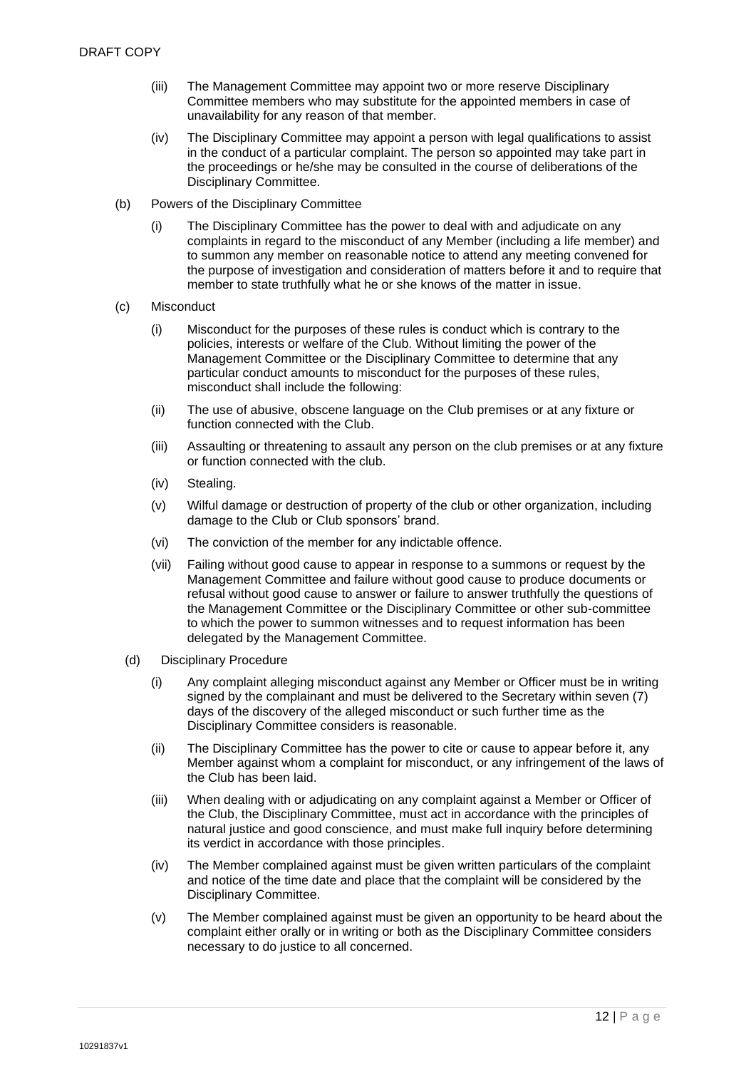- (iii) The Management Committee may appoint two or more reserve Disciplinary Committee members who may substitute for the appointed members in case of unavailability for any reason of that member.
- (iv) The Disciplinary Committee may appoint a person with legal qualifications to assist in the conduct of a particular complaint. The person so appointed may take part in the proceedings or he/she may be consulted in the course of deliberations of the Disciplinary Committee.
- (b) Powers of the Disciplinary Committee
	- (i) The Disciplinary Committee has the power to deal with and adjudicate on any complaints in regard to the misconduct of any Member (including a life member) and to summon any member on reasonable notice to attend any meeting convened for the purpose of investigation and consideration of matters before it and to require that member to state truthfully what he or she knows of the matter in issue.
- (c) Misconduct
	- (i) Misconduct for the purposes of these rules is conduct which is contrary to the policies, interests or welfare of the Club. Without limiting the power of the Management Committee or the Disciplinary Committee to determine that any particular conduct amounts to misconduct for the purposes of these rules, misconduct shall include the following:
	- (ii) The use of abusive, obscene language on the Club premises or at any fixture or function connected with the Club.
	- (iii) Assaulting or threatening to assault any person on the club premises or at any fixture or function connected with the club.
	- (iv) Stealing.
	- (v) Wilful damage or destruction of property of the club or other organization, including damage to the Club or Club sponsors' brand.
	- (vi) The conviction of the member for any indictable offence.
	- (vii) Failing without good cause to appear in response to a summons or request by the Management Committee and failure without good cause to produce documents or refusal without good cause to answer or failure to answer truthfully the questions of the Management Committee or the Disciplinary Committee or other sub-committee to which the power to summon witnesses and to request information has been delegated by the Management Committee.
	- (d) Disciplinary Procedure
		- (i) Any complaint alleging misconduct against any Member or Officer must be in writing signed by the complainant and must be delivered to the Secretary within seven (7) days of the discovery of the alleged misconduct or such further time as the Disciplinary Committee considers is reasonable.
		- (ii) The Disciplinary Committee has the power to cite or cause to appear before it, any Member against whom a complaint for misconduct, or any infringement of the laws of the Club has been laid.
		- (iii) When dealing with or adjudicating on any complaint against a Member or Officer of the Club, the Disciplinary Committee, must act in accordance with the principles of natural justice and good conscience, and must make full inquiry before determining its verdict in accordance with those principles.
		- (iv) The Member complained against must be given written particulars of the complaint and notice of the time date and place that the complaint will be considered by the Disciplinary Committee.
		- (v) The Member complained against must be given an opportunity to be heard about the complaint either orally or in writing or both as the Disciplinary Committee considers necessary to do justice to all concerned.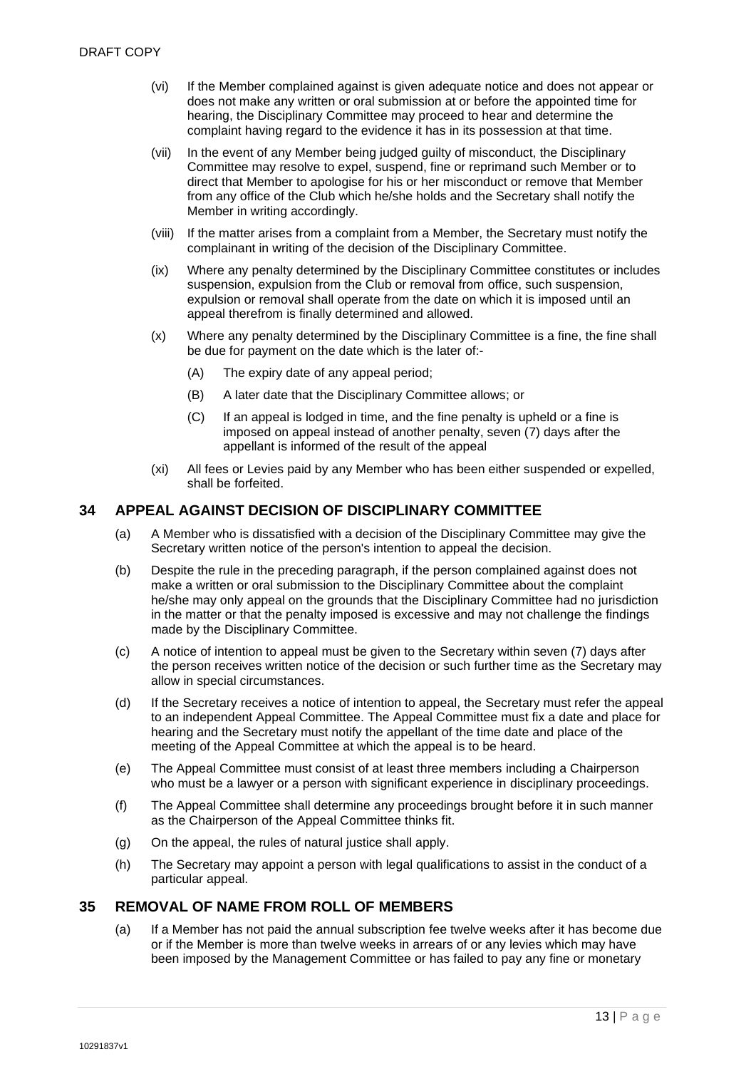- (vi) If the Member complained against is given adequate notice and does not appear or does not make any written or oral submission at or before the appointed time for hearing, the Disciplinary Committee may proceed to hear and determine the complaint having regard to the evidence it has in its possession at that time.
- (vii) In the event of any Member being judged guilty of misconduct, the Disciplinary Committee may resolve to expel, suspend, fine or reprimand such Member or to direct that Member to apologise for his or her misconduct or remove that Member from any office of the Club which he/she holds and the Secretary shall notify the Member in writing accordingly.
- (viii) If the matter arises from a complaint from a Member, the Secretary must notify the complainant in writing of the decision of the Disciplinary Committee.
- (ix) Where any penalty determined by the Disciplinary Committee constitutes or includes suspension, expulsion from the Club or removal from office, such suspension, expulsion or removal shall operate from the date on which it is imposed until an appeal therefrom is finally determined and allowed.
- (x) Where any penalty determined by the Disciplinary Committee is a fine, the fine shall be due for payment on the date which is the later of:-
	- (A) The expiry date of any appeal period;
	- (B) A later date that the Disciplinary Committee allows; or
	- (C) If an appeal is lodged in time, and the fine penalty is upheld or a fine is imposed on appeal instead of another penalty, seven (7) days after the appellant is informed of the result of the appeal
- (xi) All fees or Levies paid by any Member who has been either suspended or expelled, shall be forfeited.

### <span id="page-13-0"></span>**34 APPEAL AGAINST DECISION OF DISCIPLINARY COMMITTEE**

- (a) A Member who is dissatisfied with a decision of the Disciplinary Committee may give the Secretary written notice of the person's intention to appeal the decision.
- (b) Despite the rule in the preceding paragraph, if the person complained against does not make a written or oral submission to the Disciplinary Committee about the complaint he/she may only appeal on the grounds that the Disciplinary Committee had no jurisdiction in the matter or that the penalty imposed is excessive and may not challenge the findings made by the Disciplinary Committee.
- (c) A notice of intention to appeal must be given to the Secretary within seven (7) days after the person receives written notice of the decision or such further time as the Secretary may allow in special circumstances.
- (d) If the Secretary receives a notice of intention to appeal, the Secretary must refer the appeal to an independent Appeal Committee. The Appeal Committee must fix a date and place for hearing and the Secretary must notify the appellant of the time date and place of the meeting of the Appeal Committee at which the appeal is to be heard.
- (e) The Appeal Committee must consist of at least three members including a Chairperson who must be a lawyer or a person with significant experience in disciplinary proceedings.
- (f) The Appeal Committee shall determine any proceedings brought before it in such manner as the Chairperson of the Appeal Committee thinks fit.
- (g) On the appeal, the rules of natural justice shall apply.
- (h) The Secretary may appoint a person with legal qualifications to assist in the conduct of a particular appeal.

#### <span id="page-13-1"></span>**35 REMOVAL OF NAME FROM ROLL OF MEMBERS**

(a) If a Member has not paid the annual subscription fee twelve weeks after it has become due or if the Member is more than twelve weeks in arrears of or any levies which may have been imposed by the Management Committee or has failed to pay any fine or monetary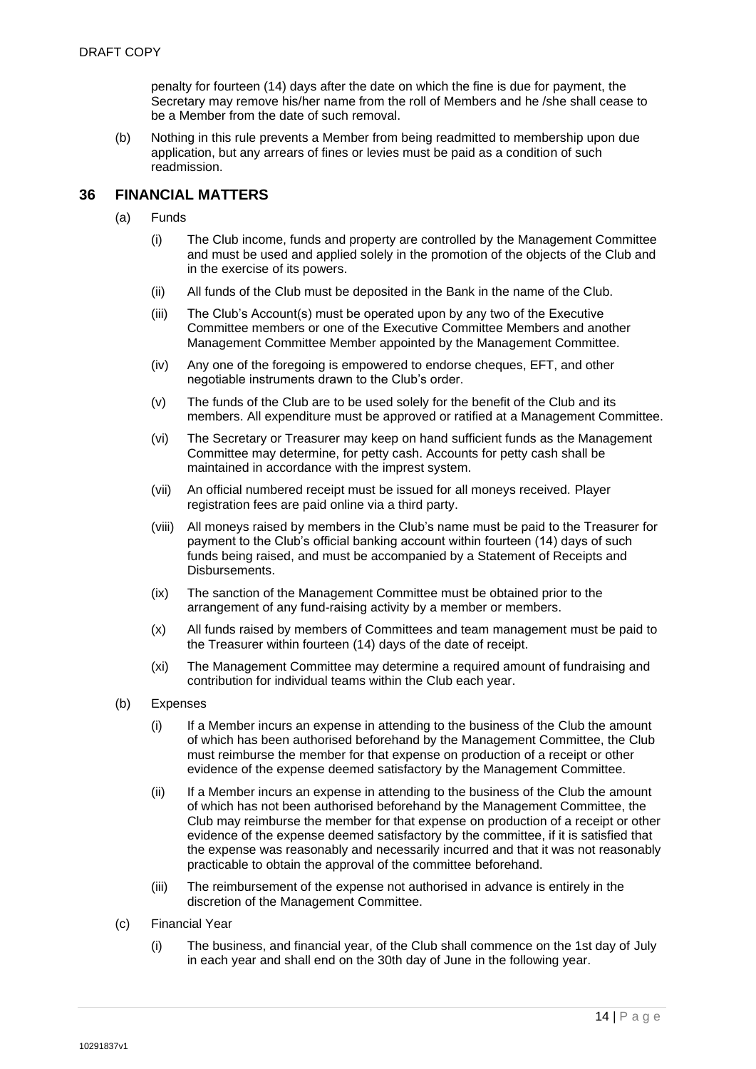penalty for fourteen (14) days after the date on which the fine is due for payment, the Secretary may remove his/her name from the roll of Members and he /she shall cease to be a Member from the date of such removal.

(b) Nothing in this rule prevents a Member from being readmitted to membership upon due application, but any arrears of fines or levies must be paid as a condition of such readmission.

# <span id="page-14-0"></span>**36 FINANCIAL MATTERS**

- (a) Funds
	- (i) The Club income, funds and property are controlled by the Management Committee and must be used and applied solely in the promotion of the objects of the Club and in the exercise of its powers.
	- (ii) All funds of the Club must be deposited in the Bank in the name of the Club.
	- (iii) The Club's Account(s) must be operated upon by any two of the Executive Committee members or one of the Executive Committee Members and another Management Committee Member appointed by the Management Committee.
	- (iv) Any one of the foregoing is empowered to endorse cheques, EFT, and other negotiable instruments drawn to the Club's order.
	- (v) The funds of the Club are to be used solely for the benefit of the Club and its members. All expenditure must be approved or ratified at a Management Committee.
	- (vi) The Secretary or Treasurer may keep on hand sufficient funds as the Management Committee may determine, for petty cash. Accounts for petty cash shall be maintained in accordance with the imprest system.
	- (vii) An official numbered receipt must be issued for all moneys received. Player registration fees are paid online via a third party.
	- (viii) All moneys raised by members in the Club's name must be paid to the Treasurer for payment to the Club's official banking account within fourteen (14) days of such funds being raised, and must be accompanied by a Statement of Receipts and Disbursements.
	- (ix) The sanction of the Management Committee must be obtained prior to the arrangement of any fund-raising activity by a member or members.
	- (x) All funds raised by members of Committees and team management must be paid to the Treasurer within fourteen (14) days of the date of receipt.
	- (xi) The Management Committee may determine a required amount of fundraising and contribution for individual teams within the Club each year.
- (b) Expenses
	- (i) If a Member incurs an expense in attending to the business of the Club the amount of which has been authorised beforehand by the Management Committee, the Club must reimburse the member for that expense on production of a receipt or other evidence of the expense deemed satisfactory by the Management Committee.
	- (ii) If a Member incurs an expense in attending to the business of the Club the amount of which has not been authorised beforehand by the Management Committee, the Club may reimburse the member for that expense on production of a receipt or other evidence of the expense deemed satisfactory by the committee, if it is satisfied that the expense was reasonably and necessarily incurred and that it was not reasonably practicable to obtain the approval of the committee beforehand.
	- (iii) The reimbursement of the expense not authorised in advance is entirely in the discretion of the Management Committee.
- (c) Financial Year
	- (i) The business, and financial year, of the Club shall commence on the 1st day of July in each year and shall end on the 30th day of June in the following year.